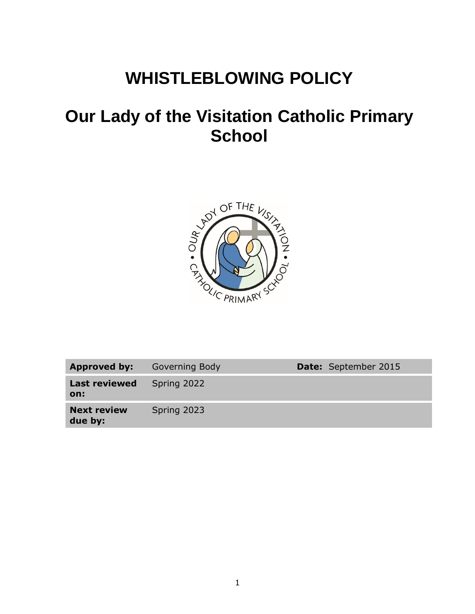# **WHISTLEBLOWING POLICY**

# **Our Lady of the Visitation Catholic Primary School**



| Approved by:                  | Governing Body | <b>Date:</b> September 2015 |
|-------------------------------|----------------|-----------------------------|
| <b>Last reviewed</b><br>on:   | Spring 2022    |                             |
| <b>Next review</b><br>due by: | Spring 2023    |                             |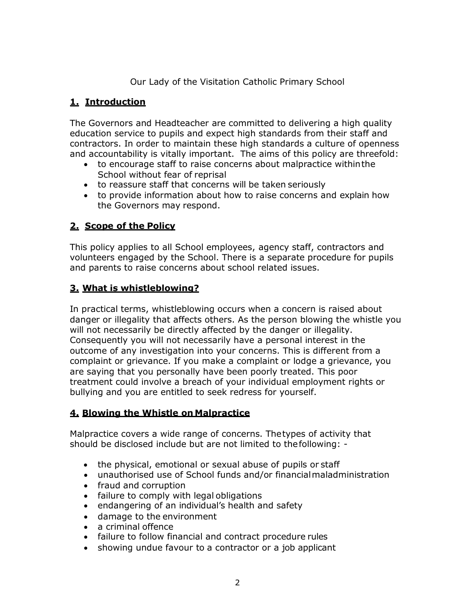Our Lady of the Visitation Catholic Primary School

#### **1. Introduction**

The Governors and Headteacher are committed to delivering a high quality education service to pupils and expect high standards from their staff and contractors. In order to maintain these high standards a culture of openness and accountability is vitally important. The aims of this policy are threefold:

- to encourage staff to raise concerns about malpractice withinthe School without fear of reprisal
- to reassure staff that concerns will be taken seriously
- to provide information about how to raise concerns and explain how the Governors may respond.

## **2. Scope of the Policy**

This policy applies to all School employees, agency staff, contractors and volunteers engaged by the School. There is a separate procedure for pupils and parents to raise concerns about school related issues.

## **3. What is whistleblowing?**

In practical terms, whistleblowing occurs when a concern is raised about danger or illegality that affects others. As the person blowing the whistle you will not necessarily be directly affected by the danger or illegality. Consequently you will not necessarily have a personal interest in the outcome of any investigation into your concerns. This is different from a complaint or grievance. If you make a complaint or lodge a grievance, you are saying that you personally have been poorly treated. This poor treatment could involve a breach of your individual employment rights or bullying and you are entitled to seek redress for yourself.

## **4. Blowing the Whistle on Malpractice**

Malpractice covers a wide range of concerns. Thetypes of activity that should be disclosed include but are not limited to thefollowing: -

- the physical, emotional or sexual abuse of pupils or staff
- unauthorised use of School funds and/or financialmaladministration
- fraud and corruption
- failure to comply with legal obligations
- endangering of an individual's health and safety
- damage to the environment
- a criminal offence
- failure to follow financial and contract procedure rules
- showing undue favour to a contractor or a job applicant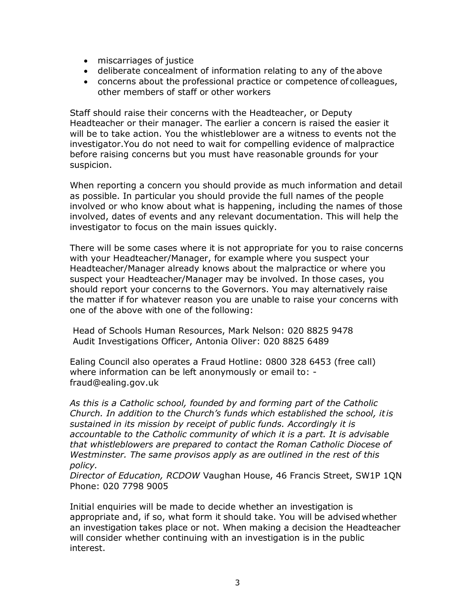- miscarriages of justice
- deliberate concealment of information relating to any of the above
- concerns about the professional practice or competence of colleagues, other members of staff or other workers

Staff should raise their concerns with the Headteacher, or Deputy Headteacher or their manager. The earlier a concern is raised the easier it will be to take action. You the whistleblower are a witness to events not the investigator.You do not need to wait for compelling evidence of malpractice before raising concerns but you must have reasonable grounds for your suspicion.

When reporting a concern you should provide as much information and detail as possible. In particular you should provide the full names of the people involved or who know about what is happening, including the names of those involved, dates of events and any relevant documentation. This will help the investigator to focus on the main issues quickly.

There will be some cases where it is not appropriate for you to raise concerns with your Headteacher/Manager, for example where you suspect your Headteacher/Manager already knows about the malpractice or where you suspect your Headteacher/Manager may be involved. In those cases, you should report your concerns to the Governors. You may alternatively raise the matter if for whatever reason you are unable to raise your concerns with one of the above with one of the following:

Head of Schools Human Resources, Mark Nelson: 020 8825 9478 Audit Investigations Officer, Antonia Oliver: 020 8825 6489

Ealing Council also operates a Fraud Hotline: 0800 328 6453 (free call) where information can be left anonymously or email to:  [fraud@ealing.gov.uk](mailto:fraudreferrals@ealing.gov.uk)

*As this is a Catholic school, founded by and forming part of the Catholic Church. In addition to the Church's funds which established the school, itis sustained in its mission by receipt of public funds. Accordingly it is accountable to the Catholic community of which it is a part. It is advisable that whistleblowers are prepared to contact the Roman Catholic Diocese of Westminster. The same provisos apply as are outlined in the rest of this policy.*

*Director of Education, RCDOW* Vaughan House, 46 Francis Street, SW1P 1QN Phone: 020 7798 9005

Initial enquiries will be made to decide whether an investigation is appropriate and, if so, what form it should take. You will be advised whether an investigation takes place or not. When making a decision the Headteacher will consider whether continuing with an investigation is in the public interest.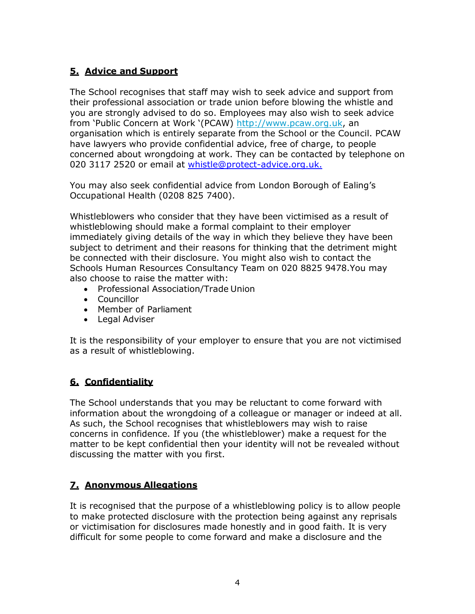## **5. Advice and Support**

The School recognises that staff may wish to seek advice and support from their professional association or trade union before blowing the whistle and you are strongly advised to do so. Employees may also wish to seek advice from 'Public Concern at Work '(PCAW) [http://www.pcaw.org.uk,](http://www.pcaw.org.uk/) an organisation which is entirely separate from the School or the Council. PCAW have lawyers who provide confidential advice, free of charge, to people concerned about wrongdoing at work. They can be contacted by telephone on 020 3117 2520 or email at [whistle@protect-advice.org.uk.](mailto:whistle@pcaw.co.uk)

You may also seek confidential advice from London Borough of Ealing's Occupational Health (0208 825 7400).

Whistleblowers who consider that they have been victimised as a result of whistleblowing should make a formal complaint to their employer immediately giving details of the way in which they believe they have been subject to detriment and their reasons for thinking that the detriment might be connected with their disclosure. You might also wish to contact the Schools Human Resources Consultancy Team on 020 8825 9478.You may also choose to raise the matter with:

- Professional Association/Trade Union
- Councillor
- Member of Parliament
- Legal Adviser

It is the responsibility of your employer to ensure that you are not victimised as a result of whistleblowing.

## **6. Confidentiality**

The School understands that you may be reluctant to come forward with information about the wrongdoing of a colleague or manager or indeed at all. As such, the School recognises that whistleblowers may wish to raise concerns in confidence. If you (the whistleblower) make a request for the matter to be kept confidential then your identity will not be revealed without discussing the matter with you first.

## **7. Anonymous Allegations**

It is recognised that the purpose of a whistleblowing policy is to allow people to make protected disclosure with the protection being against any reprisals or victimisation for disclosures made honestly and in good faith. It is very difficult for some people to come forward and make a disclosure and the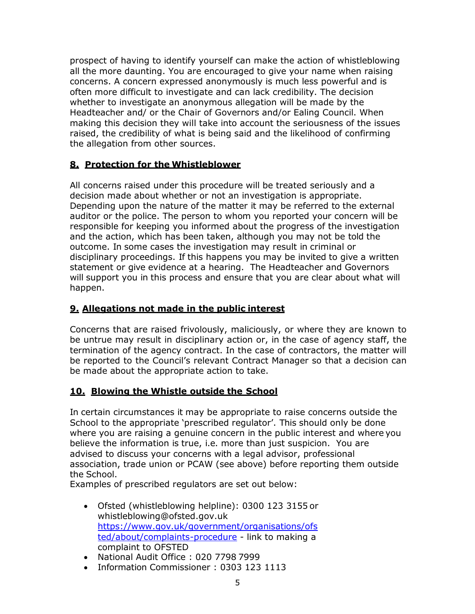prospect of having to identify yourself can make the action of whistleblowing all the more daunting. You are encouraged to give your name when raising concerns. A concern expressed anonymously is much less powerful and is often more difficult to investigate and can lack credibility. The decision whether to investigate an anonymous allegation will be made by the Headteacher and/ or the Chair of Governors and/or Ealing Council. When making this decision they will take into account the seriousness of the issues raised, the credibility of what is being said and the likelihood of confirming the allegation from other sources.

## **8. Protection for the Whistleblower**

All concerns raised under this procedure will be treated seriously and a decision made about whether or not an investigation is appropriate. Depending upon the nature of the matter it may be referred to the external auditor or the police. The person to whom you reported your concern will be responsible for keeping you informed about the progress of the investigation and the action, which has been taken, although you may not be told the outcome. In some cases the investigation may result in criminal or disciplinary proceedings. If this happens you may be invited to give a written statement or give evidence at a hearing. The Headteacher and Governors will support you in this process and ensure that you are clear about what will happen.

## **9. Allegations not made in the public interest**

Concerns that are raised frivolously, maliciously, or where they are known to be untrue may result in disciplinary action or, in the case of agency staff, the termination of the agency contract. In the case of contractors, the matter will be reported to the Council's relevant Contract Manager so that a decision can be made about the appropriate action to take.

#### **10. Blowing the Whistle outside the School**

In certain circumstances it may be appropriate to raise concerns outside the School to the appropriate 'prescribed regulator'. This should only be done where you are raising a genuine concern in the public interest and where you believe the information is true, i.e. more than just suspicion. You are advised to discuss your concerns with a legal advisor, professional association, trade union or PCAW (see above) before reporting them outside the School.

Examples of prescribed regulators are set out below:

- Ofsted (whistleblowing helpline): 0300 123 3155 o[r](mailto:whistleblowing@ofsted.gov.uk) [whistleblowing@ofsted.gov.uk](mailto:whistleblowing@ofsted.gov.uk) [https://www.gov.uk/government/organisations/ofs](https://www.gov.uk/government/organisations/ofsted/about/complaints-procedure) [ted/about/complaints-procedure](https://www.gov.uk/government/organisations/ofsted/about/complaints-procedure) - link to making a complaint to OFSTED
- National Audit Office : 020 7798 7999
- Information Commissioner: 0303 123 1113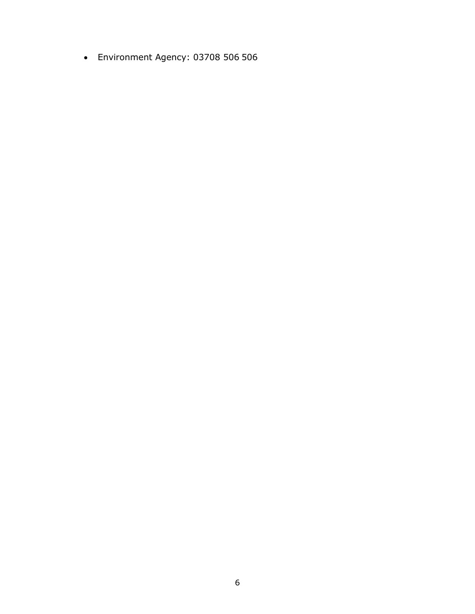Environment Agency: 03708 506 506